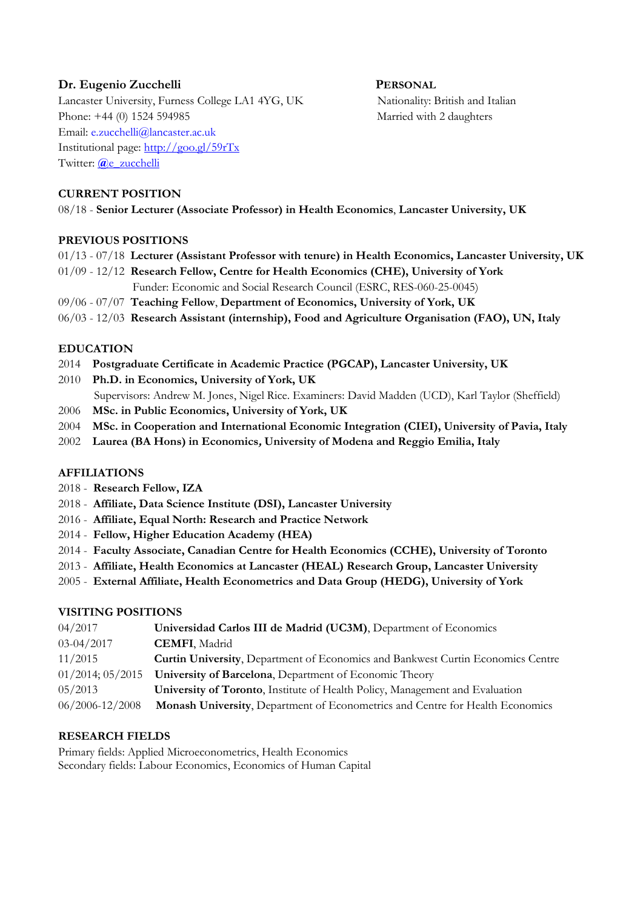# **Dr. Eugenio Zucchelli PERSONAL**

Lancaster University, Furness College LA1 4YG, UK Nationality: British and Italian Phone: +44 (0) 1524 594985 Married with 2 daughters Email: [e.zucchelli@lancaster.ac.uk](mailto:e.zucchelli@lancaster.ac.uk)  Institutional page:<http://goo.gl/59rTx> Twitter: **@**[e\\_zucchelli](https://twitter.com/e_zucchelli)

#### **CURRENT POSITION**

08/18 - **Senior Lecturer (Associate Professor) in Health Economics**, **Lancaster University, UK** 

#### **PREVIOUS POSITIONS**

- 01/13 07/18 **Lecturer (Assistant Professor with tenure) in Health Economics, Lancaster University, UK**
- 01/09 12/12 **Research Fellow, Centre for Health Economics (CHE), University of York** Funder: Economic and Social Research Council (ESRC, RES-060-25-0045)
- 09/06 07/07 **Teaching Fellow**, **Department of Economics, University of York, UK**
- 06/03 12/03 **Research Assistant (internship), Food and Agriculture Organisation (FAO), UN, Italy**

#### **EDUCATION**

- 2014 **Postgraduate Certificate in Academic Practice (PGCAP), Lancaster University, UK**
- 2010 **Ph.D. in Economics, University of York, UK** Supervisors: Andrew M. Jones, Nigel Rice. Examiners: David Madden (UCD), Karl Taylor (Sheffield)
- 2006 **MSc. in Public Economics, University of York, UK**
- 2004 **MSc. in Cooperation and International Economic Integration (CIEI), University of Pavia, Italy**
- 2002 **Laurea (BA Hons) in Economics, University of Modena and Reggio Emilia, Italy**

#### **AFFILIATIONS**

- 2018 **Research Fellow, IZA**
- 2018 **Affiliate, Data Science Institute (DSI), Lancaster University**
- 2016 **Affiliate, Equal North: Research and Practice Network**
- 2014 **Fellow, Higher Education Academy (HEA)**
- 2014 **Faculty Associate, Canadian Centre for Health Economics (CCHE), University of Toronto**
- 2013 **Affiliate, Health Economics at Lancaster (HEAL) Research Group, Lancaster University**
- 2005 **External Affiliate, Health Econometrics and Data Group (HEDG), University of York**

#### **VISITING POSITIONS**

| 04/2017               | Universidad Carlos III de Madrid (UC3M), Department of Economics                       |
|-----------------------|----------------------------------------------------------------------------------------|
| 03-04/2017            | <b>CEMFI, Madrid</b>                                                                   |
| 11/2015               | <b>Curtin University, Department of Economics and Bankwest Curtin Economics Centre</b> |
| $01/2014$ ; $05/2015$ | University of Barcelona, Department of Economic Theory                                 |
| 05/2013               | University of Toronto, Institute of Health Policy, Management and Evaluation           |
| $06/2006 - 12/2008$   | Monash University, Department of Econometrics and Centre for Health Economics          |

## **RESEARCH FIELDS**

Primary fields: Applied Microeconometrics, Health Economics Secondary fields: Labour Economics, Economics of Human Capital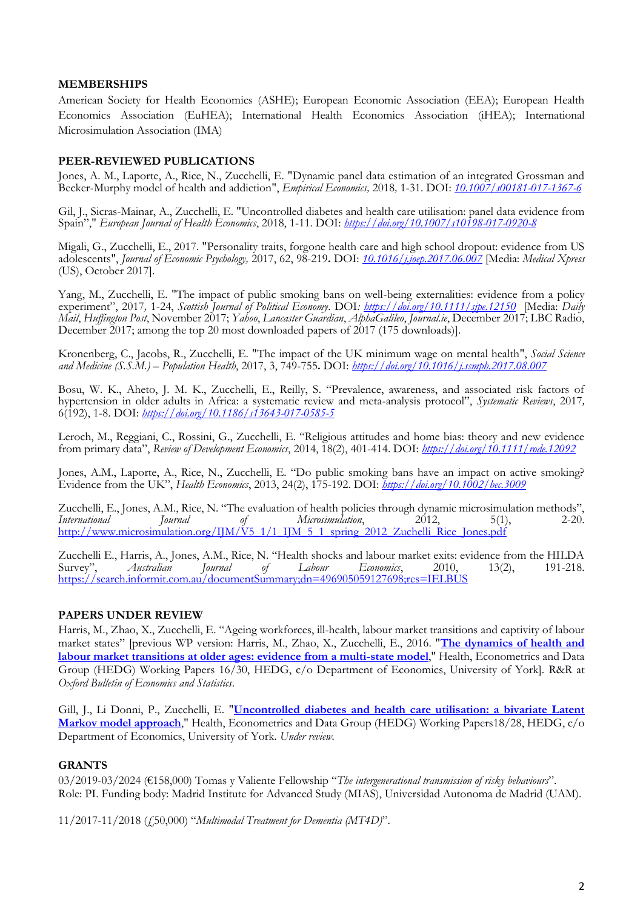#### **MEMBERSHIPS**

American Society for Health Economics (ASHE); European Economic Association (EEA); European Health Economics Association (EuHEA); International Health Economics Association (iHEA); International Microsimulation Association (IMA)

#### **PEER-REVIEWED PUBLICATIONS**

Jones, A. M., Laporte, A., Rice, N., Zucchelli, E. "Dynamic panel data estimation of an integrated Grossman and Becker-Murphy model of health and addiction", *Empirical Economics,* 2018*,* 1-31. DOI: *[10.1007/s00181-017-1367-6](http://dx.doi.org/10.1007/s00181-017-1367-6)*

Gil, J., Sicras-Mainar, A., Zucchelli, E. "Uncontrolled diabetes and health care utilisation: panel data evidence from Spain"," *European Journal of Health Economics*, 2018, 1-11. DOI: *<https://doi.org/10.1007/s10198-017-0920-8>*

Migali, G., Zucchelli, E., 2017. "Personality traits, forgone health care and high school dropout: evidence from US adolescents", *Journal of Economic Psychology,* 2017, 62, 98-219**.** DOI: *[10.1016/j.joep.2017.06.007](http://dx.doi.org/10.1016/j.joep.2017.06.007)* [Media: *Medical Xpress* (US), October 2017].

Yang, M., Zucchelli, E. "The impact of public smoking bans on well-being externalities: evidence from a policy experiment", 2017*,* 1-24, *Scottish Journal of Political Economy*. DOI*: <https://doi.org/10.1111/sjpe.12150>*[Media: *Daily Mail*, *Huffington Post*, November 2017; *Yahoo*, *Lancaster Guardian*, *AlphaGalileo*, *Journal.ie*, December 2017; LBC Radio, December 2017; among the top 20 most downloaded papers of 2017 (175 downloads)].

Kronenberg, C., Jacobs, R., Zucchelli, E. "The impact of the UK minimum wage on mental health", *Social Science and Medicine (S.S.M.) – Population Health*, 2017, 3, 749-755**.** DOI: *<https://doi.org/10.1016/j.ssmph.2017.08.007>*

Bosu, W. K., Aheto, J. M. K., Zucchelli, E., Reilly, S. "Prevalence, awareness, and associated risk factors of hypertension in older adults in Africa: a systematic review and meta-analysis protocol", *Systematic Reviews*, 2017*,*  6(192), 1-8. DOI: *<https://doi.org/10.1186/s13643-017-0585-5>*

Leroch, M., Reggiani, C., Rossini, G., Zucchelli, E. "Religious attitudes and home bias: theory and new evidence from primary data", *Review of Development Economics*, 2014, 18(2), 401-414. DOI: *<https://doi.org/10.1111/rode.12092>*

Jones, A.M., Laporte, A., Rice, N., Zucchelli, E. "Do public smoking bans have an impact on active smoking? Evidence from the UK", *Health Economics*, 2013, 24(2), 175-192. DOI: *<https://doi.org/10.1002/hec.3009>*

Zucchelli, E., Jones, A.M., Rice, N. "The evaluation of health policies through dynamic microsimulation methods"<br>International Journal of Microsimulation, 2012, 5(1), 2-20 *International Journal of Microsimulation*, 2012, 5(1), 2-20. [http://www.microsimulation.org/IJM/V5\\_1/1\\_IJM\\_5\\_1\\_spring\\_2012\\_Zuchelli\\_Rice\\_Jones.pdf](http://www.microsimulation.org/IJM/V5_1/1_IJM_5_1_spring_2012_Zuchelli_Rice_Jones.pdf)

Zucchelli E., Harris, A., Jones, A.M., Rice, N. "Health shocks and labour market exits: evidence from the HILDA Survey", *Australian Journal of Labour Economics*, 2010, 13(2), 191-218. <https://search.informit.com.au/documentSummary;dn=496905059127698;res=IELBUS>

## **PAPERS UNDER REVIEW**

Harris, M., Zhao, X., Zucchelli, E. "Ageing workforces, ill-health, labour market transitions and captivity of labour market states" [previous WP version: Harris, M., Zhao, X., Zucchelli, E., 2016. "**[The dynamics of health and](https://ideas.repec.org/p/yor/hectdg/16-30.html)  [labour market transitions at older ages: evidence from a multi-state model](https://ideas.repec.org/p/yor/hectdg/16-30.html)**," Health, Econometrics and Data Group (HEDG) Working Papers 16/30, HEDG, c/o Department of Economics, University of York]. R&R at *Oxford Bulletin of Economics and Statistics*.

Gill, J., Li Donni, P., Zucchelli, E. "**[Uncontrolled diabetes and health care utilisation: a bivariate Latent](https://ideas.repec.org/p/yor/hectdg/18-28.html)  [Markov model approach](https://ideas.repec.org/p/yor/hectdg/18-28.html)**," Health, Econometrics and Data Group (HEDG) Working Papers18/28, HEDG, c/o Department of Economics, University of York. *Under review.*

## **GRANTS**

03/2019-03/2024 (€158,000) Tomas y Valiente Fellowship "*The intergenerational transmission of risky behaviours*". Role: PI. Funding body: Madrid Institute for Advanced Study (MIAS), Universidad Autonoma de Madrid (UAM).

11/2017-11/2018 (£50,000) "*Multimodal Treatment for Dementia (MT4D)*".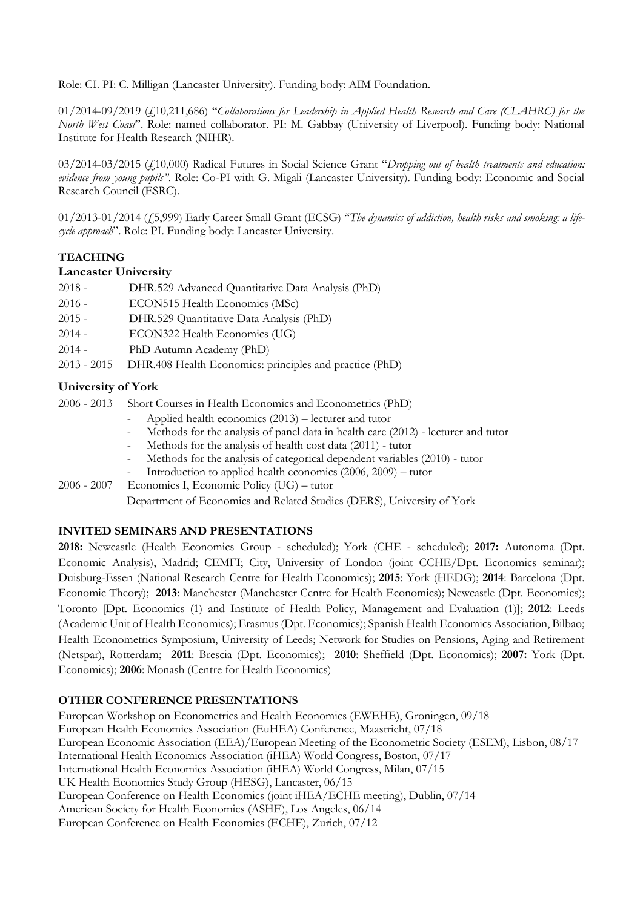Role: CI. PI: C. Milligan (Lancaster University). Funding body: AIM Foundation.

01/2014-09/2019 (£10,211,686) "*Collaborations for Leadership in Applied Health Research and Care (CLAHRC) for the North West Coast*". Role: named collaborator. PI: M. Gabbay (University of Liverpool). Funding body: National Institute for Health Research (NIHR).

03/2014-03/2015 (£10,000) Radical Futures in Social Science Grant "*Dropping out of health treatments and education: evidence from young pupils"*. Role: Co-PI with G. Migali (Lancaster University). Funding body: Economic and Social Research Council (ESRC).

01/2013-01/2014 (£5,999) Early Career Small Grant (ECSG) "*The dynamics of addiction, health risks and smoking: a lifecycle approach*". Role: PI. Funding body: Lancaster University.

# **TEACHING**

#### **Lancaster University**

| $2018 -$ | DHR.529 Advanced Quantitative Data Analysis (PhD)                   |
|----------|---------------------------------------------------------------------|
| $2016 -$ | ECON515 Health Economics (MSc)                                      |
| $2015 -$ | DHR.529 Quantitative Data Analysis (PhD)                            |
| $2014 -$ | ECON322 Health Economics (UG)                                       |
| $2014 -$ | PhD Autumn Academy (PhD)                                            |
|          | 2013 - 2015 DHR.408 Health Economics: principles and practice (PhD) |

## **University of York**

2006 - 2013 Short Courses in Health Economics and Econometrics (PhD)

- Applied health economics (2013) lecturer and tutor
- Methods for the analysis of panel data in health care (2012) lecturer and tutor
- Methods for the analysis of health cost data (2011) tutor
- Methods for the analysis of categorical dependent variables (2010) tutor
- Introduction to applied health economics  $(2006, 2009)$  tutor
- 2006 2007 Economics I, Economic Policy (UG) tutor

Department of Economics and Related Studies (DERS), University of York

## **INVITED SEMINARS AND PRESENTATIONS**

**2018:** Newcastle (Health Economics Group - scheduled); York (CHE - scheduled); **2017:** Autonoma (Dpt. Economic Analysis), Madrid; CEMFI; City, University of London (joint CCHE/Dpt. Economics seminar); Duisburg-Essen (National Research Centre for Health Economics); **2015**: York (HEDG); **2014**: Barcelona (Dpt. Economic Theory); **2013**: Manchester (Manchester Centre for Health Economics); Newcastle (Dpt. Economics); Toronto [Dpt. Economics (1) and Institute of Health Policy, Management and Evaluation (1)]; **2012**: Leeds (Academic Unit of Health Economics); Erasmus (Dpt. Economics); Spanish Health Economics Association, Bilbao; Health Econometrics Symposium, University of Leeds; Network for Studies on Pensions, Aging and Retirement (Netspar), Rotterdam; **2011**: Brescia (Dpt. Economics); **2010**: Sheffield (Dpt. Economics); **2007:** York (Dpt. Economics); **2006**: Monash (Centre for Health Economics)

## **OTHER CONFERENCE PRESENTATIONS**

European Workshop on Econometrics and Health Economics (EWEHE), Groningen, 09/18 European Health Economics Association (EuHEA) Conference, Maastricht, 07/18 European Economic Association (EEA)/European Meeting of the Econometric Society (ESEM), Lisbon, 08/17 International Health Economics Association (iHEA) World Congress, Boston, 07/17 International Health Economics Association (iHEA) World Congress, Milan, 07/15 UK Health Economics Study Group (HESG), Lancaster, 06/15 European Conference on Health Economics (joint iHEA/ECHE meeting), Dublin, 07/14 American Society for Health Economics (ASHE), Los Angeles, 06/14 European Conference on Health Economics (ECHE), Zurich, 07/12